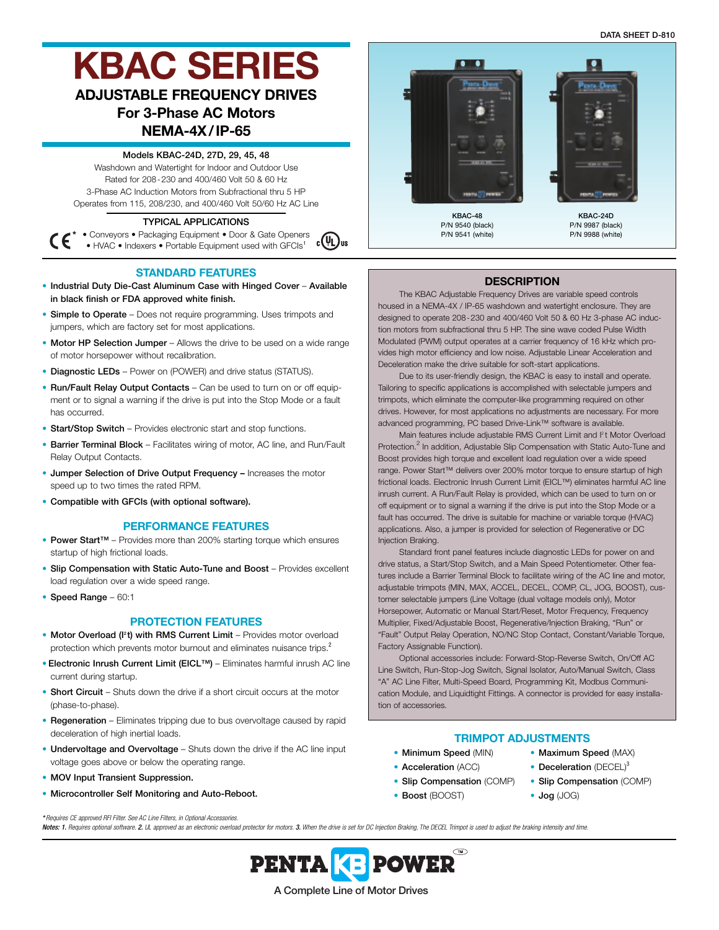**DATA SHEET D-810**

# **KBAC SERIES ADJUSTABLE FREQUENCY DRIVES**

# **For 3-Phase AC Motors**

## **NEMA-4X/IP-65**

**Models KBAC-24D, 27D, 29, 45, 48**

Washdown and Watertight for Indoor and Outdoor Use Rated for 208-230 and 400/460 Volt 50 & 60 Hz 3-Phase AC Induction Motors from Subfractional thru 5 HP Operates from 115, 208/230, and 400/460 Volt 50/60 Hz AC Line

## **TYPICAL APPLICATIONS**

**\*** • Conveyors • Packaging Equipment • Door & Gate Openers  $\bigcirc$ <sub>us</sub> (C • HVAC • Indexers • Portable Equipment used with GFCIs<sup>1</sup>

## **STANDARD FEATURES**

- **Industrial Duty Die-Cast Aluminum Case with Hinged Cover Available in black finish or FDA approved white finish.**
- **Simple to Operate** Does not require programming. Uses trimpots and jumpers, which are factory set for most applications.
- **Motor HP Selection Jumper** Allows the drive to be used on a wide range of motor horsepower without recalibration.
- **Diagnostic LEDs** Power on (POWER) and drive status (STATUS).
- **Run/Fault Relay Output Contacts** Can be used to turn on or off equipment or to signal a warning if the drive is put into the Stop Mode or a fault has occurred.
- **Start/Stop Switch** Provides electronic start and stop functions.
- **Barrier Terminal Block** Facilitates wiring of motor, AC line, and Run/Fault Relay Output Contacts.
- **Jumper Selection of Drive Output Frequency –** Increases the motor speed up to two times the rated RPM.
- **Compatible with GFCIs (with optional software).**

#### **PERFORMANCE FEATURES**

- **Power Start™** Provides more than 200% starting torque which ensures startup of high frictional loads.
- **Slip Compensation with Static Auto-Tune and Boost** Provides excellent load regulation over a wide speed range.
- **Speed Range** 60:1

#### **PROTECTION FEATURES**

- Motor Overload (I<sup>2</sup>t) with RMS Current Limit Provides motor overload protection which prevents motor burnout and eliminates nuisance trips.<sup>2</sup>
- **Electronic Inrush Current Limit (EICL™)** Eliminates harmful inrush AC line current during startup.
- **Short Circuit** Shuts down the drive if a short circuit occurs at the motor (phase-to-phase).
- **Regeneration** Eliminates tripping due to bus overvoltage caused by rapid deceleration of high inertial loads.
- **Undervoltage and Overvoltage** Shuts down the drive if the AC line input voltage goes above or below the operating range.
- **MOV Input Transient Suppression.**
- **Microcontroller Self Monitoring and Auto-Reboot.**



#### **DESCRIPTION**

The KBAC Adjustable Frequency Drives are variable speed controls housed in a NEMA-4X / IP-65 washdown and watertight enclosure. They are designed to operate 208-230 and 400/460 Volt 50 & 60 Hz 3-phase AC induction motors from subfractional thru 5 HP. The sine wave coded Pulse Width Modulated (PWM) output operates at a carrier frequency of 16 kHz which provides high motor efficiency and low noise. Adjustable Linear Acceleration and Deceleration make the drive suitable for soft-start applications.

Due to its user-friendly design, the KBAC is easy to install and operate. Tailoring to specific applications is accomplished with selectable jumpers and trimpots, which eliminate the computer-like programming required on other drives. However, for most applications no adjustments are necessary. For more advanced programming, PC based Drive-Link™ software is available.

Main features include adjustable RMS Current Limit and <sup>p</sup>t Motor Overload Protection.<sup>2</sup> In addition, Adjustable Slip Compensation with Static Auto-Tune and Boost provides high torque and excellent load regulation over a wide speed range. Power Start™ delivers over 200% motor torque to ensure startup of high frictional loads. Electronic Inrush Current Limit (EICL™) eliminates harmful AC line inrush current. A Run/Fault Relay is provided, which can be used to turn on or off equipment or to signal a warning if the drive is put into the Stop Mode or a fault has occurred. The drive is suitable for machine or variable torque (HVAC) applications. Also, a jumper is provided for selection of Regenerative or DC Injection Braking.

Standard front panel features include diagnostic LEDs for power on and drive status, a Start/Stop Switch, and a Main Speed Potentiometer. Other features include a Barrier Terminal Block to facilitate wiring of the AC line and motor, adjustable trimpots (MIN, MAX, ACCEL, DECEL, COMP, CL, JOG, BOOST), customer selectable jumpers (Line Voltage (dual voltage models only), Motor Horsepower, Automatic or Manual Start/Reset, Motor Frequency, Frequency Multiplier, Fixed/Adjustable Boost, Regenerative/Injection Braking, "Run" or "Fault" Output Relay Operation, NO/NC Stop Contact, Constant/Variable Torque, Factory Assignable Function).

Optional accessories include: Forward-Stop-Reverse Switch, On/Off AC Line Switch, Run-Stop-Jog Switch, Signal Isolator, Auto/Manual Switch, Class "A" AC Line Filter, Multi-Speed Board, Programming Kit, Modbus Communication Module, and Liquidtight Fittings. A connector is provided for easy installation of accessories.

## **TRIMPOT ADJUSTMENTS**

- **Minimum Speed** (MIN) **Maximum Speed** (MAX)
- **Acceleration** (ACC) **Deceleration** (DECEL)<sup>3</sup>
- **Slip Compensation** (COMP) **Slip Compensation** (COMP)
- **Boost** (BOOST) **Jog** (JOG)
	-

*\* Requires CE approved RFI Filter. See AC Line Filters, in Optional Accessories.* Notes: 1. Requires optional software. 2. UL approved as an electronic overload protector for motors. 3. When the drive is set for DC Injection Braking, The DECEL Trimpot is used to adjust the braking intensity and time.

> $\bigcirc$ **POWER PENTAKE A Complete Line of Motor Drives**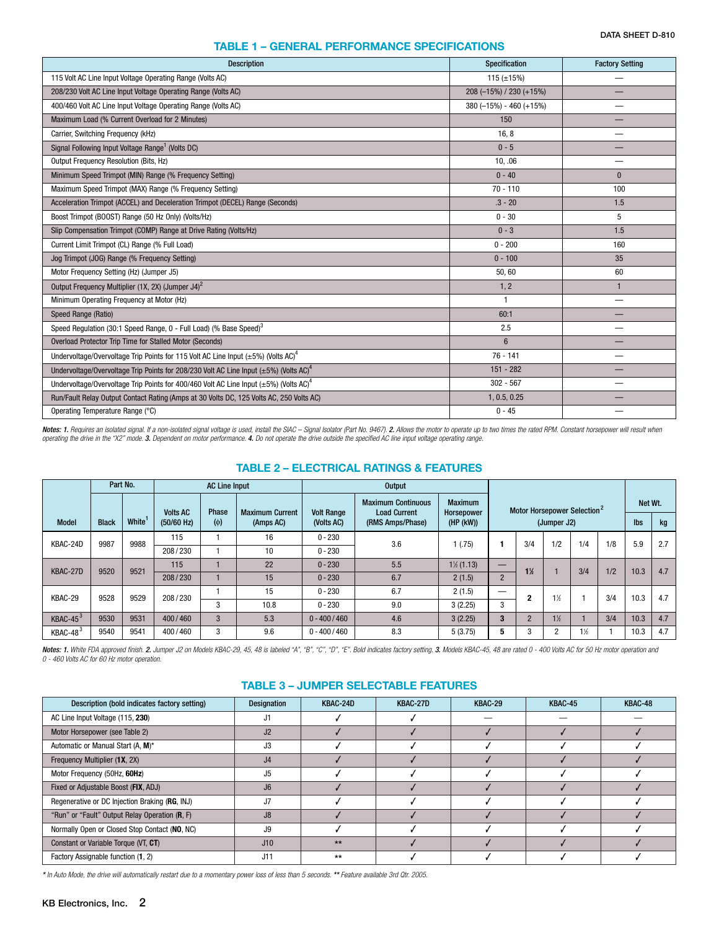## **TABLE 1 – GENERAL PERFORMANCE SPECIFICATIONS**

| <b>Description</b>                                                                                      | Specification               | <b>Factory Setting</b> |
|---------------------------------------------------------------------------------------------------------|-----------------------------|------------------------|
| 115 Volt AC Line Input Voltage Operating Range (Volts AC)                                               | 115 ( $\pm$ 15%)            |                        |
| 208/230 Volt AC Line Input Voltage Operating Range (Volts AC)                                           | 208 (-15%) / 230 (+15%)     |                        |
| 400/460 Volt AC Line Input Voltage Operating Range (Volts AC)                                           | $380 (-15\%) - 460 (+15\%)$ |                        |
| Maximum Load (% Current Overload for 2 Minutes)                                                         | 150                         |                        |
| Carrier, Switching Frequency (kHz)                                                                      | 16, 8                       |                        |
| Signal Following Input Voltage Range <sup>1</sup> (Volts DC)                                            | $0 - 5$                     |                        |
| Output Frequency Resolution (Bits, Hz)                                                                  | 10.06                       |                        |
| Minimum Speed Trimpot (MIN) Range (% Frequency Setting)                                                 | $0 - 40$                    | $\Omega$               |
| Maximum Speed Trimpot (MAX) Range (% Frequency Setting)                                                 | $70 - 110$                  | 100                    |
| Acceleration Trimpot (ACCEL) and Deceleration Trimpot (DECEL) Range (Seconds)                           | $.3 - 20$                   | 1.5                    |
| Boost Trimpot (BOOST) Range (50 Hz Only) (Volts/Hz)                                                     | $0 - 30$                    | 5                      |
| Slip Compensation Trimpot (COMP) Range at Drive Rating (Volts/Hz)                                       | $0 - 3$                     | 1.5                    |
| Current Limit Trimpot (CL) Range (% Full Load)                                                          | $0 - 200$                   | 160                    |
| Jog Trimpot (JOG) Range (% Frequency Setting)                                                           | $0 - 100$                   | 35                     |
| Motor Frequency Setting (Hz) (Jumper J5)                                                                | 50,60                       | 60                     |
| Output Frequency Multiplier (1X, 2X) (Jumper J4) <sup>2</sup>                                           | 1, 2                        | $\mathbf{1}$           |
| Minimum Operating Frequency at Motor (Hz)                                                               | $\mathbf{1}$                | —                      |
| Speed Range (Ratio)                                                                                     | 60:1                        |                        |
| Speed Regulation (30:1 Speed Range, 0 - Full Load) (% Base Speed) <sup>3</sup>                          | 2.5                         |                        |
| Overload Protector Trip Time for Stalled Motor (Seconds)                                                | $6\phantom{1}$              |                        |
| Undervoltage/Overvoltage Trip Points for 115 Volt AC Line Input ( $\pm$ 5%) (Volts AC) <sup>4</sup>     | $76 - 141$                  |                        |
| Undervoltage/Overvoltage Trip Points for 208/230 Volt AC Line Input ( $\pm$ 5%) (Volts AC) <sup>4</sup> | $151 - 282$                 |                        |
| Undervoltage/Overvoltage Trip Points for 400/460 Volt AC Line Input ( $\pm$ 5%) (Volts AC) <sup>4</sup> | $302 - 567$                 |                        |
| Run/Fault Relay Output Contact Rating (Amps at 30 Volts DC, 125 Volts AC, 250 Volts AC)                 | 1, 0.5, 0.25                |                        |
| Operating Temperature Range (°C)                                                                        | $0 - 45$                    |                        |

**Notes: 1.** Requires an isolated signal. If a non-isolated signal voltage is used, install the SIAC – Signal Isolator (Part No. 9467). **2.** Allows the motor to operate up to two times the rated RPM. Constant horsepower wil

## **TABLE 2 – ELECTRICAL RATINGS & FEATURES**

|                          | Part No.<br><b>AC Line Input</b> |       |                 |          |                        | <b>Output</b>     |                                                  |                                     |                                         |                       |                |                |      |      |     |
|--------------------------|----------------------------------|-------|-----------------|----------|------------------------|-------------------|--------------------------------------------------|-------------------------------------|-----------------------------------------|-----------------------|----------------|----------------|------|------|-----|
|                          |                                  |       | <b>Volts AC</b> | Phase    | <b>Maximum Current</b> | <b>Volt Range</b> | <b>Maximum Continuous</b><br><b>Load Current</b> | <b>Maximum</b><br><b>Horsepower</b> | Motor Horsepower Selection <sup>2</sup> |                       |                | Net Wt.        |      |      |     |
| <b>Model</b>             | <b>Black</b>                     | White | $(50/60$ Hz)    | $(\phi)$ | (Amps AC)              | (Volts AC)        | (RMS Amps/Phase)                                 | (HP (kW))                           | (Jumper J2)                             |                       |                |                | Ibs  | kg   |     |
| KBAC-24D<br>9987<br>9988 |                                  |       | 115             |          | 16                     | $0 - 230$         | 3.6                                              | (0.75)                              | 1                                       | 3/4                   | 1/2            | 1/4            | 1/8  | 5.9  | 2.7 |
|                          |                                  |       | 208/230         |          | 10                     | $0 - 230$         |                                                  |                                     |                                         |                       |                |                |      |      |     |
| 9520<br>KBAC-27D         | 9521                             | 115   |                 | 22       | $0 - 230$              | 5.5               | $1\frac{1}{2}$ (1.13)                            |                                     | $1\frac{1}{2}$                          |                       | 3/4            | 1/2            | 10.3 | 4.7  |     |
|                          |                                  |       | 208/230         |          | 15                     | $0 - 230$         | 6.7                                              | 2(1.5)                              | $\overline{2}$                          |                       |                |                |      |      |     |
| 9528<br>KBAC-29          |                                  | 9529  | 208/230         |          | 15                     | $0 - 230$         | 6.7                                              | 2(1.5)                              |                                         |                       |                |                | 3/4  | 10.3 | 4.7 |
|                          |                                  |       |                 | 3        | 10.8                   | $0 - 230$         | 9.0                                              | 3(2.25)                             | 3                                       | $\mathbf{2}$<br>$1\%$ |                |                |      |      |     |
| $KBAC-453$               | 9530                             | 9531  | 400/460         | 3        | 5.3                    | $0 - 400 / 460$   | 4.6                                              | 3(2.25)                             | 3                                       | $\overline{2}$        | $1\frac{1}{2}$ |                | 3/4  | 10.3 | 4.7 |
| KBAC-48 <sup>3</sup>     | 9540                             | 9541  | 400/460         | 3        | 9.6                    | $0 - 400 / 460$   | 8.3                                              | 5(3.75)                             | 5                                       | 3                     | റ              | $1\frac{1}{2}$ |      | 10.3 | 4.7 |

**Notes: 1.** White FDA approved finish. **2.** Jumper J2 on Models KBAC-29, 45, 48 is labeled "A", "B", "C", "D", "E". Bold indicates factory setting. **3.** Models KBAC-45, 48 are rated 0 - 400 Volts AC for 50 Hz motor operati

#### **TABLE 3 – JUMPER SELECTABLE FEATURES**

| Description (bold indicates factory setting)   | <b>Designation</b> | KBAC-24D | KBAC-27D | KBAC-29 | KBAC-45 | KBAC-48 |
|------------------------------------------------|--------------------|----------|----------|---------|---------|---------|
| AC Line Input Voltage (115, 230)               | J1                 |          |          |         |         |         |
| Motor Horsepower (see Table 2)                 | J2                 |          |          |         |         |         |
| Automatic or Manual Start (A, M)*              | J3                 |          |          |         |         |         |
| Frequency Multiplier (1X, 2X)                  | J <sub>4</sub>     |          |          |         |         |         |
| Motor Frequency (50Hz, 60Hz)                   | J <sub>5</sub>     |          |          |         |         |         |
| Fixed or Adjustable Boost (FIX, ADJ)           | J6                 |          |          |         |         |         |
| Regenerative or DC Injection Braking (RG, INJ) | J7                 |          |          |         |         |         |
| "Run" or "Fault" Output Relay Operation (R, F) | J8                 |          |          |         |         |         |
| Normally Open or Closed Stop Contact (NO, NC)  | J9                 |          |          |         |         |         |
| Constant or Variable Torque (VT, CT)           | J10                | $**$     |          |         |         |         |
| Factory Assignable function (1, 2)             | J11                | $**$     |          |         |         |         |

*\* In Auto Mode, the drive will automatically restart due to a momentary power loss of less than 5 seconds. \*\* Feature available 3rd Qtr. 2005.*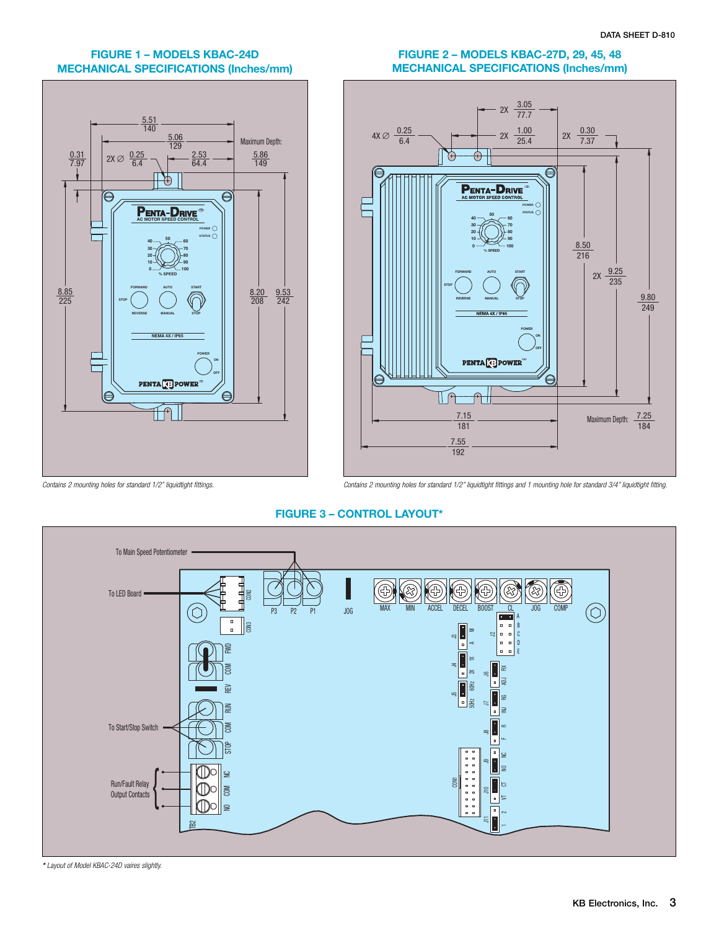## **FIGURE 1 – MODELS KBAC-24D MECHANICAL SPECIFICATIONS (Inches/mm)**



## **FIGURE 2 – MODELS KBAC-27D, 29, 45, 48 MECHANICAL SPECIFICATIONS (Inches/mm)**



*Contains 2 mounting holes for standard 1/2" liquidtight fittings. Contains 2 mounting holes for standard 1/2" liquidtight fittings and 1 mounting hole for standard 3/4" liquidtight fitting.*

## **FIGURE 3 – CONTROL LAYOUT\***



*\* Layout of Model KBAC-24D vaires slightly.*